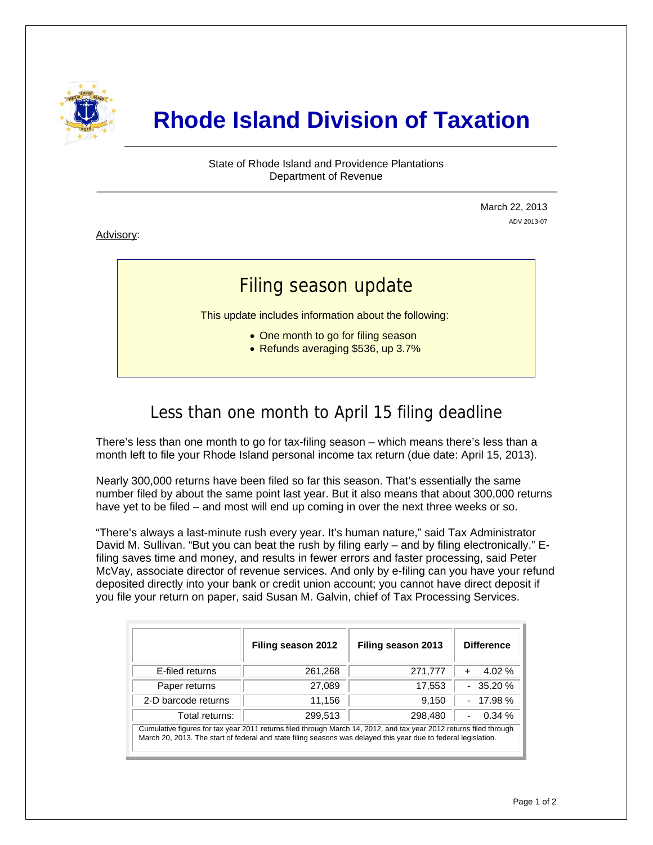

# **Rhode Island Division of Taxation**

State of Rhode Island and Providence Plantations Department of Revenue

> March 22, 2013 ADV 2013-07

Advisory:

i

## Filing season update

This update includes information about the following:

- One month to go for filing season
- Refunds averaging \$536, up 3.7%

## Less than one month to April 15 filing deadline

There's less than one month to go for tax-filing season – which means there's less than a month left to file your Rhode Island personal income tax return (due date: April 15, 2013).

Nearly 300,000 returns have been filed so far this season. That's essentially the same number filed by about the same point last year. But it also means that about 300,000 returns have yet to be filed – and most will end up coming in over the next three weeks or so.

"There's always a last-minute rush every year. It's human nature," said Tax Administrator David M. Sullivan. "But you can beat the rush by filing early – and by filing electronically." Efiling saves time and money, and results in fewer errors and faster processing, said Peter McVay, associate director of revenue services. And only by e-filing can you have your refund deposited directly into your bank or credit union account; you cannot have direct deposit if you file your return on paper, said Susan M. Galvin, chief of Tax Processing Services.

|                                                                                                                                                                                                                                       | Filing season 2012 | Filing season 2013 | <b>Difference</b>     |  |
|---------------------------------------------------------------------------------------------------------------------------------------------------------------------------------------------------------------------------------------|--------------------|--------------------|-----------------------|--|
| E-filed returns                                                                                                                                                                                                                       | 261,268            | 271,777            | $4.02\%$<br>$\ddot{}$ |  |
| Paper returns                                                                                                                                                                                                                         | 27,089             | 17,553             | $-35.20%$             |  |
| 2-D barcode returns                                                                                                                                                                                                                   | 11,156             | 9,150              | $-17.98%$             |  |
| Total returns:                                                                                                                                                                                                                        | 299,513            | 298,480            | 0.34%<br>٠            |  |
| Cumulative figures for tax year 2011 returns filed through March 14, 2012, and tax year 2012 returns filed through<br>March 20, 2013. The start of federal and state filing seasons was delayed this year due to federal legislation. |                    |                    |                       |  |